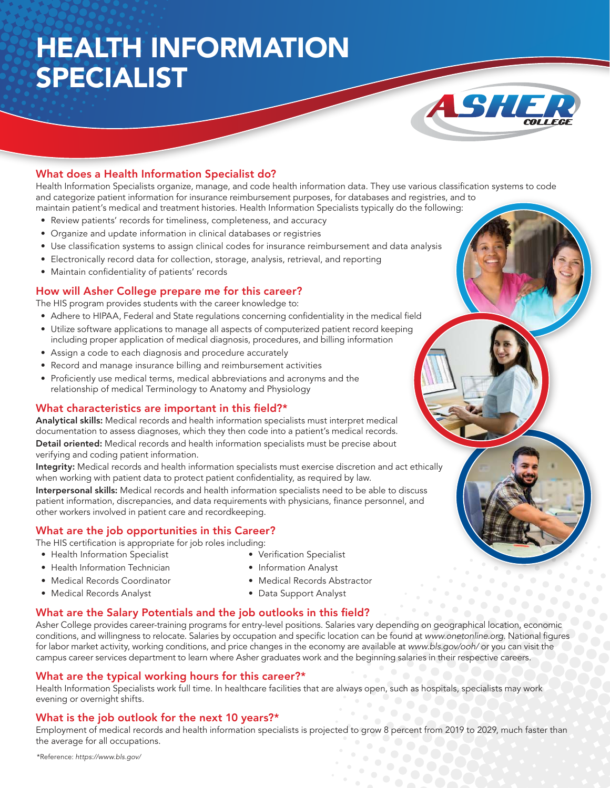# HEALTH INFORMATION SPECIALIST



## What does a Health Information Specialist do?

Health Information Specialists organize, manage, and code health information data. They use various classification systems to code and categorize patient information for insurance reimbursement purposes, for databases and registries, and to maintain patient's medical and treatment histories. Health Information Specialists typically do the following:

- Review patients' records for timeliness, completeness, and accuracy
- Organize and update information in clinical databases or registries
- Use classification systems to assign clinical codes for insurance reimbursement and data analysis
- Electronically record data for collection, storage, analysis, retrieval, and reporting
- Maintain confidentiality of patients' records

#### How will Asher College prepare me for this career?

The HIS program provides students with the career knowledge to:

- Adhere to HIPAA, Federal and State regulations concerning confidentiality in the medical field
- Utilize software applications to manage all aspects of computerized patient record keeping including proper application of medical diagnosis, procedures, and billing information
- Assign a code to each diagnosis and procedure accurately
- Record and manage insurance billing and reimbursement activities
- Proficiently use medical terms, medical abbreviations and acronyms and the relationship of medical Terminology to Anatomy and Physiology

#### What characteristics are important in this field?\*

Analytical skills: Medical records and health information specialists must interpret medical documentation to assess diagnoses, which they then code into a patient's medical records. Detail oriented: Medical records and health information specialists must be precise about verifying and coding patient information.

Integrity: Medical records and health information specialists must exercise discretion and act ethically when working with patient data to protect patient confidentiality, as required by law.

Interpersonal skills: Medical records and health information specialists need to be able to discuss patient information, discrepancies, and data requirements with physicians, finance personnel, and other workers involved in patient care and recordkeeping.

#### What are the job opportunities in this Career?

The HIS certification is appropriate for job roles including:

- Health Information Specialist
- Health Information Technician
- Medical Records Coordinator
- Medical Records Analyst
- Verification Specialist • Information Analyst
- Medical Records Abstractor
- Data Support Analyst

#### What are the Salary Potentials and the job outlooks in this field?

Asher College provides career-training programs for entry-level positions. Salaries vary depending on geographical location, economic conditions, and willingness to relocate. Salaries by occupation and specific location can be found at www.onetonline.org. National figures for labor market activity, working conditions, and price changes in the economy are available at www.bls.gov/ooh/ or you can visit the campus career services department to learn where Asher graduates work and the beginning salaries in their respective careers.

#### What are the typical working hours for this career?\*

Health Information Specialists work full time. In healthcare facilities that are always open, such as hospitals, specialists may work evening or overnight shifts.

#### What is the job outlook for the next 10 years?\*

Employment of medical records and health information specialists is projected to grow 8 percent from 2019 to 2029, much faster than the average for all occupations.